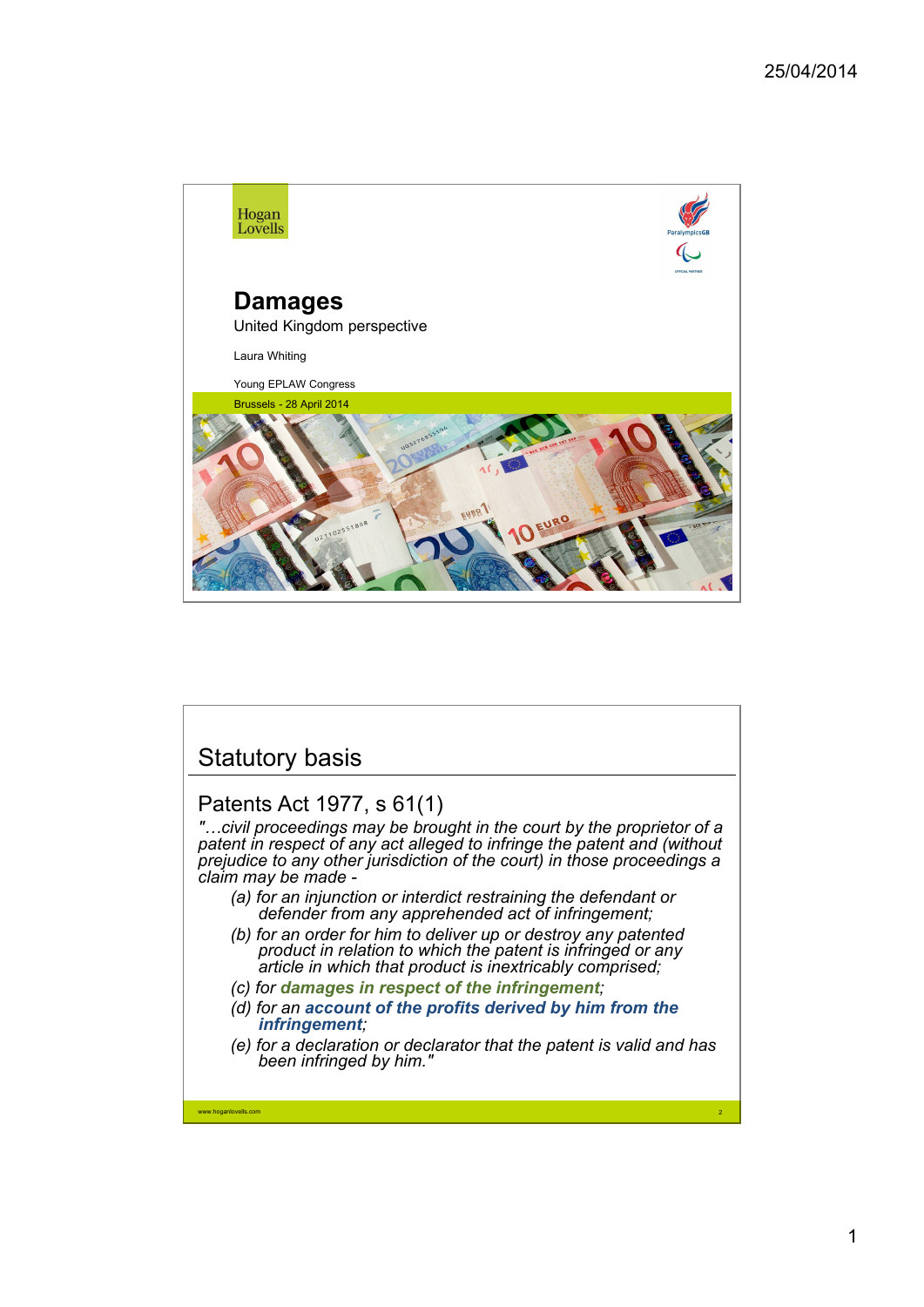

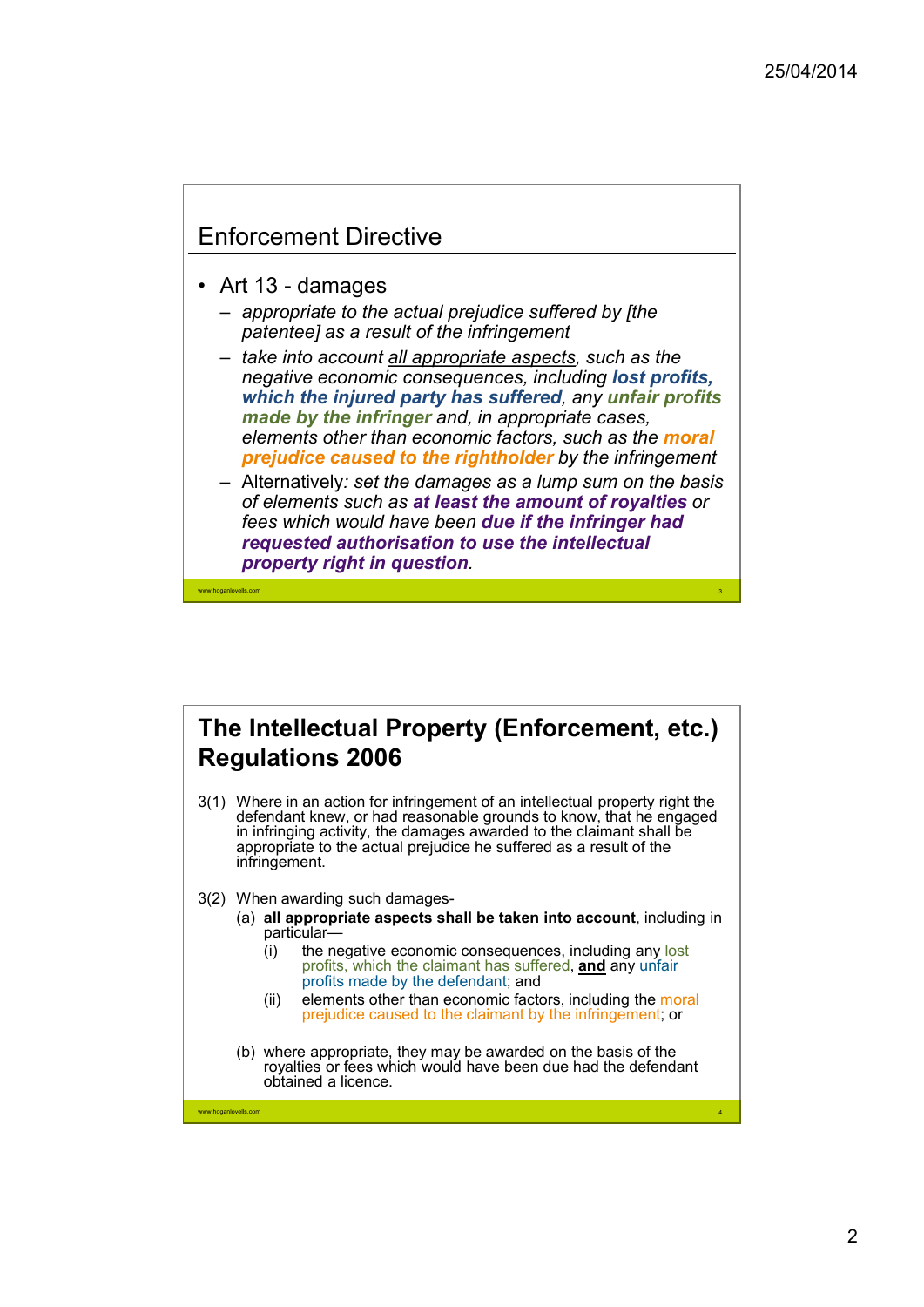3

4

## Enforcement Directive

• Art 13 - damages

www.hoganlovells.com

www.hoganlovells.com

- *appropriate to the actual prejudice suffered by [the patentee] as a result of the infringement*
- *take into account all appropriate aspects, such as the negative economic consequences, including lost profits, which the injured party has suffered, any unfair profits made by the infringer and, in appropriate cases, elements other than economic factors, such as the moral prejudice caused to the rightholder by the infringement*
- Alternatively*: set the damages as a lump sum on the basis of elements such as at least the amount of royalties or fees which would have been due if the infringer had requested authorisation to use the intellectual property right in question.*

## **The Intellectual Property (Enforcement, etc.) Regulations 2006**

- 3(1) Where in an action for infringement of an intellectual property right the defendant knew, or had reasonable grounds to know, that he engaged in infringing activity, the damages awarded to the claimant shall be appropriate to the actual prejudice he suffered as a result of the infringement.
- 3(2) When awarding such damages-
	- (a) **all appropriate aspects shall be taken into account**, including in particular—
		- (i) the negative economic consequences, including any lost profits, which the claimant has suffered, **and** any unfair profits made by the defendant; and
		- (ii) elements other than economic factors, including the moral prejudice caused to the claimant by the infringement; or
	- (b) where appropriate, they may be awarded on the basis of the royalties or fees which would have been due had the defendant obtained a licence.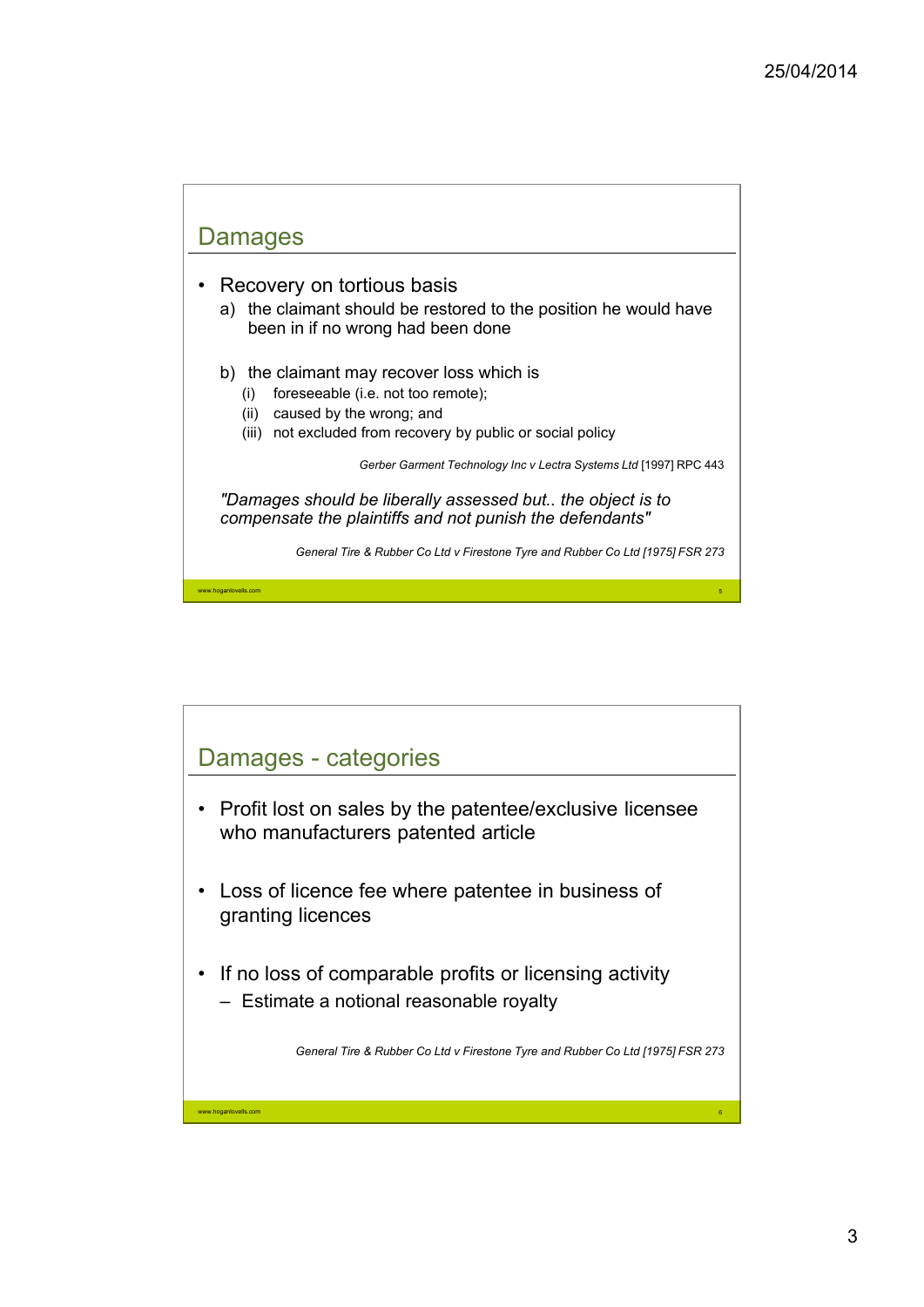

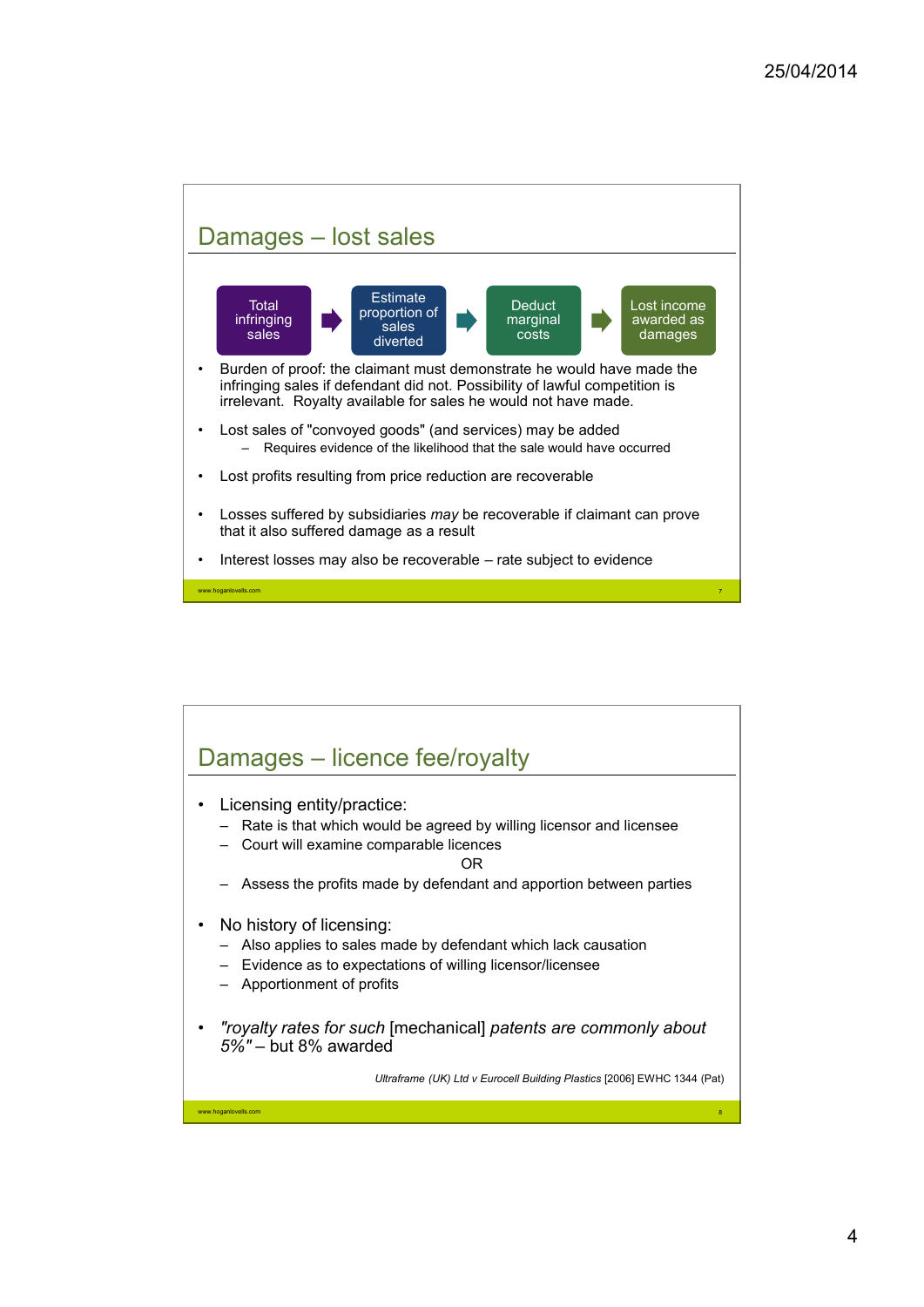

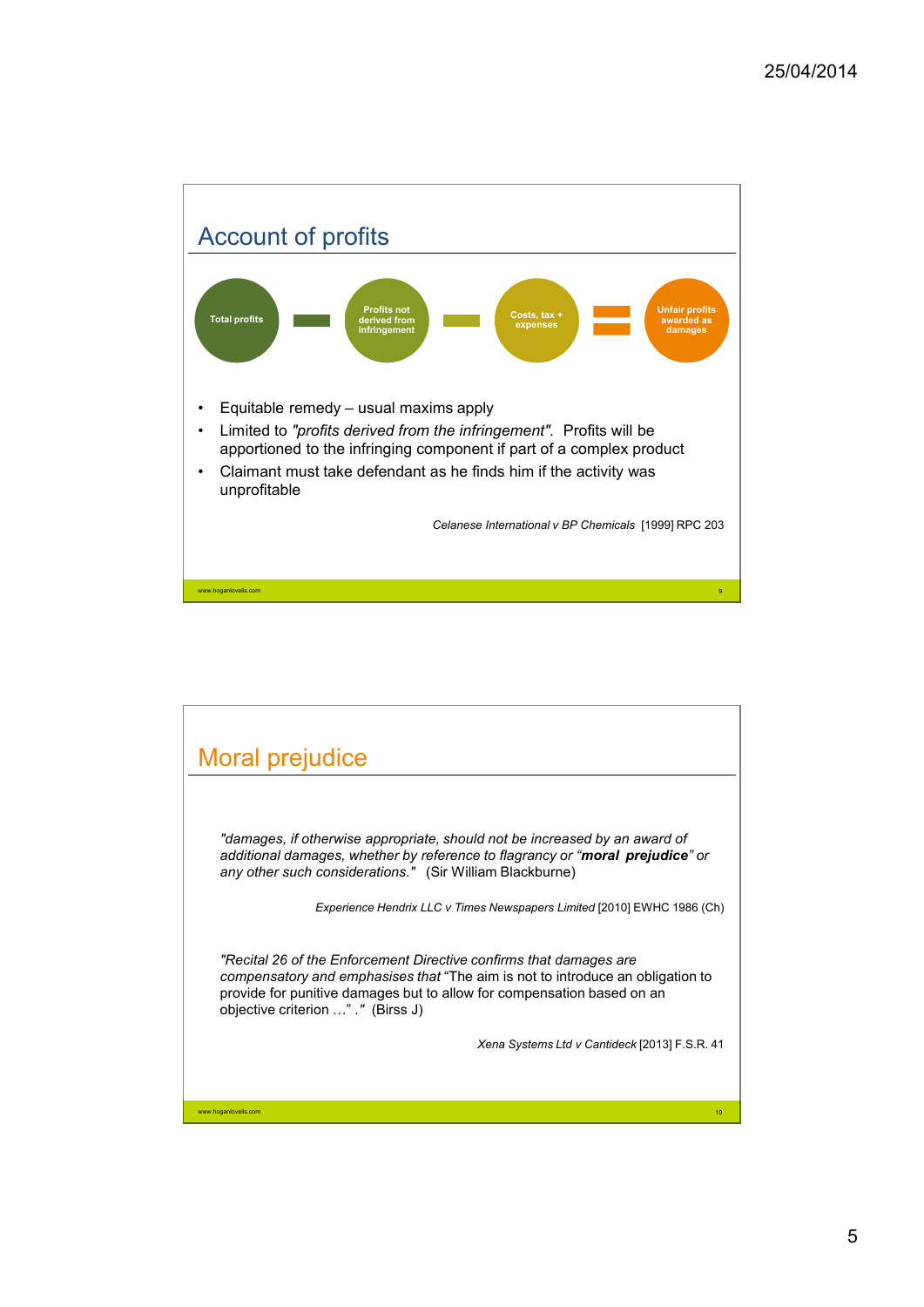